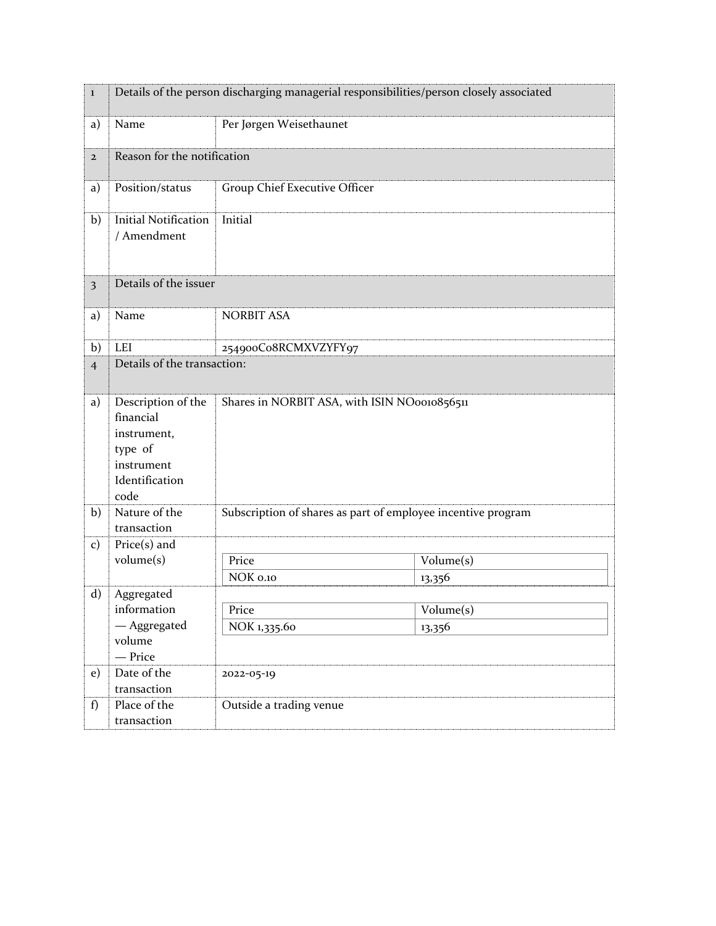| $\bf{l}$       | Details of the person discharging managerial responsibilities/person closely associated           |                                                              |           |  |
|----------------|---------------------------------------------------------------------------------------------------|--------------------------------------------------------------|-----------|--|
| a)             | Name                                                                                              | Per Jørgen Weisethaunet                                      |           |  |
| $\overline{2}$ |                                                                                                   | Reason for the notification                                  |           |  |
| a)             | Position/status                                                                                   | Group Chief Executive Officer                                |           |  |
| b)             | <b>Initial Notification</b><br>/ Amendment                                                        | Initial                                                      |           |  |
| 3              | Details of the issuer                                                                             |                                                              |           |  |
| a)             | Name                                                                                              | <b>NORBIT ASA</b>                                            |           |  |
| b)             | LEI                                                                                               | 254900Co8RCMXVZYFY97                                         |           |  |
| $\overline{4}$ | Details of the transaction:                                                                       |                                                              |           |  |
| a)             | Description of the<br>financial<br>instrument,<br>type of<br>instrument<br>Identification<br>code | Shares in NORBIT ASA, with ISIN NO0010856511                 |           |  |
| b)             | Nature of the<br>transaction                                                                      | Subscription of shares as part of employee incentive program |           |  |
| $\mathbf{c})$  | $Price(s)$ and                                                                                    |                                                              |           |  |
|                | volume(s)                                                                                         | Price                                                        | Volume(s) |  |
|                |                                                                                                   | NOK 0.10                                                     | 13,356    |  |
| $\mathbf{d}$   | Aggregated<br>information                                                                         |                                                              | Volume(s) |  |
|                | - Aggregated                                                                                      | Price<br>NOK 1,335.60                                        | 13,356    |  |
|                | volume<br>- Price                                                                                 |                                                              |           |  |
| e)             | Date of the<br>transaction                                                                        | 2022-05-19                                                   |           |  |
| f)             | Place of the<br>transaction                                                                       | Outside a trading venue                                      |           |  |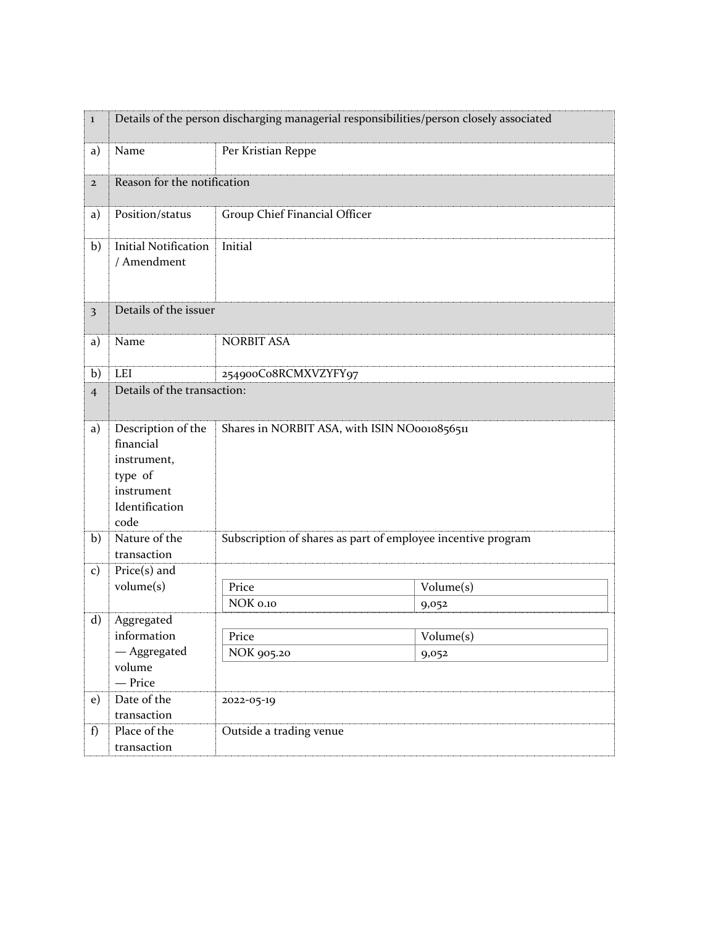| $\bf{l}$                | Details of the person discharging managerial responsibilities/person closely associated           |                                                              |           |  |
|-------------------------|---------------------------------------------------------------------------------------------------|--------------------------------------------------------------|-----------|--|
| a)                      | Name                                                                                              | Per Kristian Reppe                                           |           |  |
| $\mathbf{2}$            |                                                                                                   | Reason for the notification                                  |           |  |
| a)                      | Position/status                                                                                   | Group Chief Financial Officer                                |           |  |
| b)                      | <b>Initial Notification</b><br>/ Amendment                                                        | Initial                                                      |           |  |
| $\overline{\mathbf{3}}$ | Details of the issuer                                                                             |                                                              |           |  |
| a)                      | Name                                                                                              | <b>NORBIT ASA</b>                                            |           |  |
| b)                      | <b>LEI</b>                                                                                        | 254900Co8RCMXVZYFY97                                         |           |  |
| $\overline{4}$          | Details of the transaction:                                                                       |                                                              |           |  |
| a)                      | Description of the<br>financial<br>instrument,<br>type of<br>instrument<br>Identification<br>code | Shares in NORBIT ASA, with ISIN NO0010856511                 |           |  |
| b)                      | Nature of the<br>transaction                                                                      | Subscription of shares as part of employee incentive program |           |  |
| $\mathbf{c})$           | $Price(s)$ and                                                                                    |                                                              |           |  |
|                         | volume(s)                                                                                         | Price                                                        | Volume(s) |  |
|                         |                                                                                                   | NOK 0.10                                                     | 9,052     |  |
| $\mathbf{d}$            | Aggregated                                                                                        |                                                              |           |  |
|                         | information<br>- Aggregated                                                                       | Price                                                        | Volume(s) |  |
|                         | volume                                                                                            | NOK 905.20                                                   | 9,052     |  |
|                         | - Price                                                                                           |                                                              |           |  |
| e)                      | Date of the                                                                                       | 2022-05-19                                                   |           |  |
|                         | transaction                                                                                       |                                                              |           |  |
| f)                      | Place of the                                                                                      | Outside a trading venue                                      |           |  |
|                         | transaction                                                                                       |                                                              |           |  |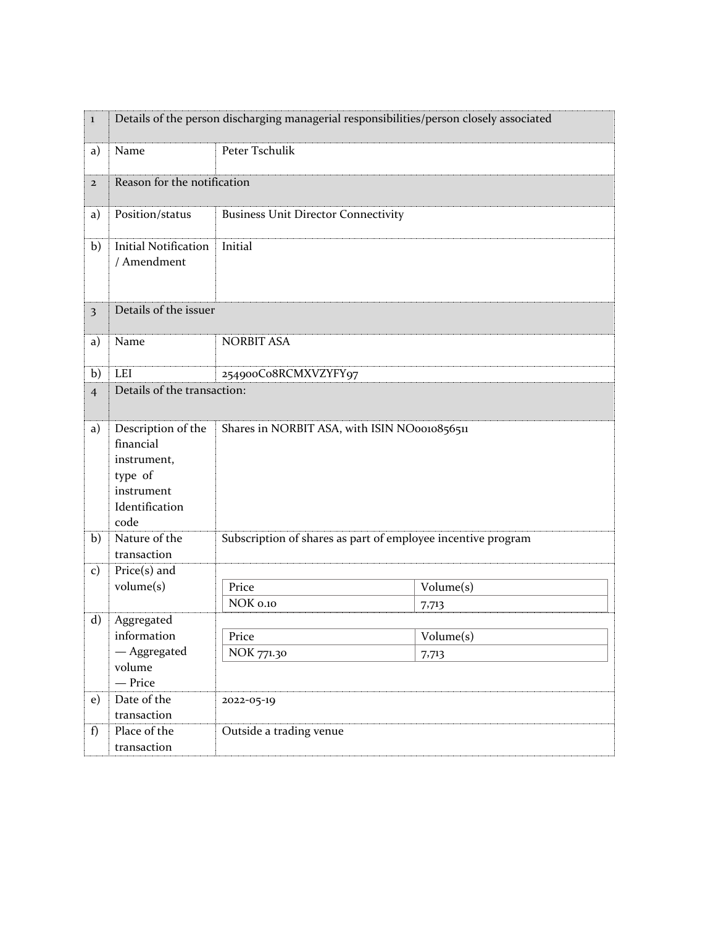| $\bf{l}$                | Details of the person discharging managerial responsibilities/person closely associated           |                                                              |           |  |
|-------------------------|---------------------------------------------------------------------------------------------------|--------------------------------------------------------------|-----------|--|
| a)                      | Name                                                                                              | Peter Tschulik                                               |           |  |
| $\overline{2}$          | Reason for the notification                                                                       |                                                              |           |  |
| a)                      | Position/status                                                                                   | <b>Business Unit Director Connectivity</b>                   |           |  |
| b)                      | <b>Initial Notification</b><br>/ Amendment                                                        | Initial                                                      |           |  |
| $\overline{\mathbf{3}}$ | Details of the issuer                                                                             |                                                              |           |  |
| a)                      | Name                                                                                              | <b>NORBIT ASA</b>                                            |           |  |
| b)                      | LEI                                                                                               | 254900Co8RCMXVZYFY97                                         |           |  |
| $\overline{4}$          | Details of the transaction:                                                                       |                                                              |           |  |
| a)                      | Description of the<br>financial<br>instrument,<br>type of<br>instrument<br>Identification<br>code | Shares in NORBIT ASA, with ISIN NO0010856511                 |           |  |
| b)                      | Nature of the<br>transaction                                                                      | Subscription of shares as part of employee incentive program |           |  |
| $\mathbf{c})$           | $Price(s)$ and                                                                                    |                                                              |           |  |
|                         | volume(s)                                                                                         | Price                                                        | Volume(s) |  |
|                         |                                                                                                   | NOK 0.10                                                     | 7,713     |  |
| $\mathbf{d}$            | Aggregated                                                                                        |                                                              |           |  |
|                         | information                                                                                       | Price                                                        | Volume(s) |  |
|                         | — Aggregated<br>volume                                                                            | NOK 771.30                                                   | 7,713     |  |
|                         | - Price                                                                                           |                                                              |           |  |
| e)                      | Date of the                                                                                       | 2022-05-19                                                   |           |  |
|                         | transaction                                                                                       |                                                              |           |  |
| f)                      | Place of the                                                                                      | Outside a trading venue                                      |           |  |
|                         | transaction                                                                                       |                                                              |           |  |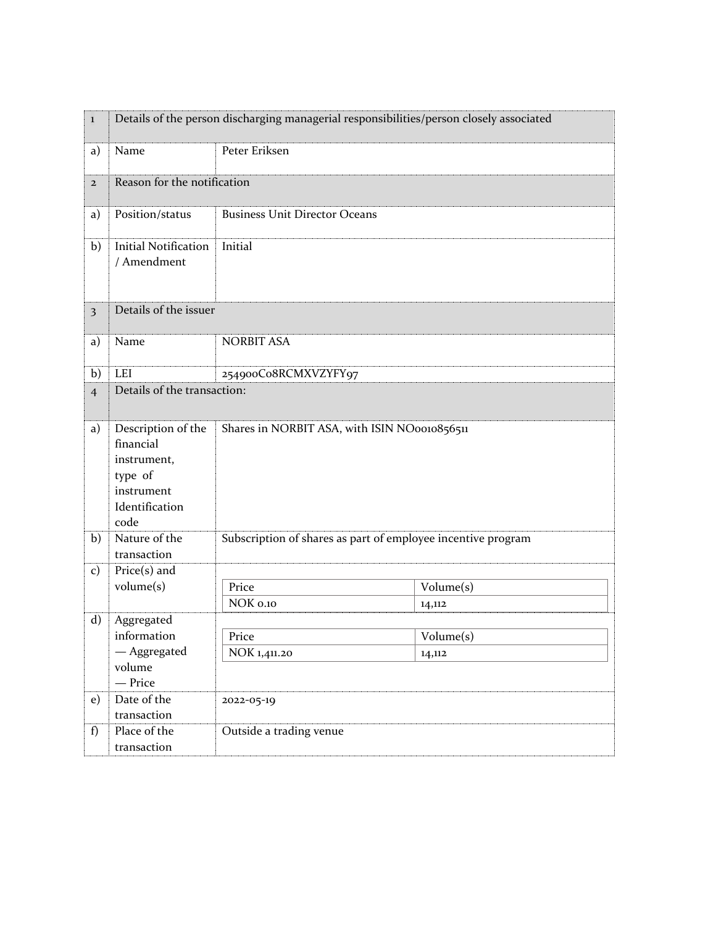| $\bf{l}$                | Details of the person discharging managerial responsibilities/person closely associated           |                                                              |           |  |
|-------------------------|---------------------------------------------------------------------------------------------------|--------------------------------------------------------------|-----------|--|
| a)                      | Name                                                                                              | Peter Eriksen                                                |           |  |
| $\mathbf{2}$            |                                                                                                   | Reason for the notification                                  |           |  |
| a)                      | Position/status                                                                                   | <b>Business Unit Director Oceans</b>                         |           |  |
| b)                      | <b>Initial Notification</b><br>/ Amendment                                                        | Initial                                                      |           |  |
| $\overline{\mathbf{3}}$ | Details of the issuer                                                                             |                                                              |           |  |
| a)                      | Name                                                                                              | <b>NORBIT ASA</b>                                            |           |  |
| b)                      | <b>LEI</b>                                                                                        | 254900Co8RCMXVZYFY97                                         |           |  |
| $\overline{4}$          |                                                                                                   | Details of the transaction:                                  |           |  |
| a)                      | Description of the<br>financial<br>instrument,<br>type of<br>instrument<br>Identification<br>code | Shares in NORBIT ASA, with ISIN NO0010856511                 |           |  |
| b)                      | Nature of the<br>transaction                                                                      | Subscription of shares as part of employee incentive program |           |  |
| $\mathbf{c})$           | $Price(s)$ and                                                                                    |                                                              |           |  |
|                         | volume(s)                                                                                         | Price                                                        | Volume(s) |  |
|                         |                                                                                                   | NOK 0.10                                                     | 14,112    |  |
| $\mathbf{d}$            | Aggregated                                                                                        |                                                              |           |  |
|                         | information<br>- Aggregated                                                                       | Price<br>NOK 1,411.20                                        | Volume(s) |  |
|                         | volume                                                                                            |                                                              | 14,112    |  |
|                         | - Price                                                                                           |                                                              |           |  |
| e)                      | Date of the                                                                                       | 2022-05-19                                                   |           |  |
|                         | transaction                                                                                       |                                                              |           |  |
| f)                      | Place of the                                                                                      | Outside a trading venue                                      |           |  |
|                         | transaction                                                                                       |                                                              |           |  |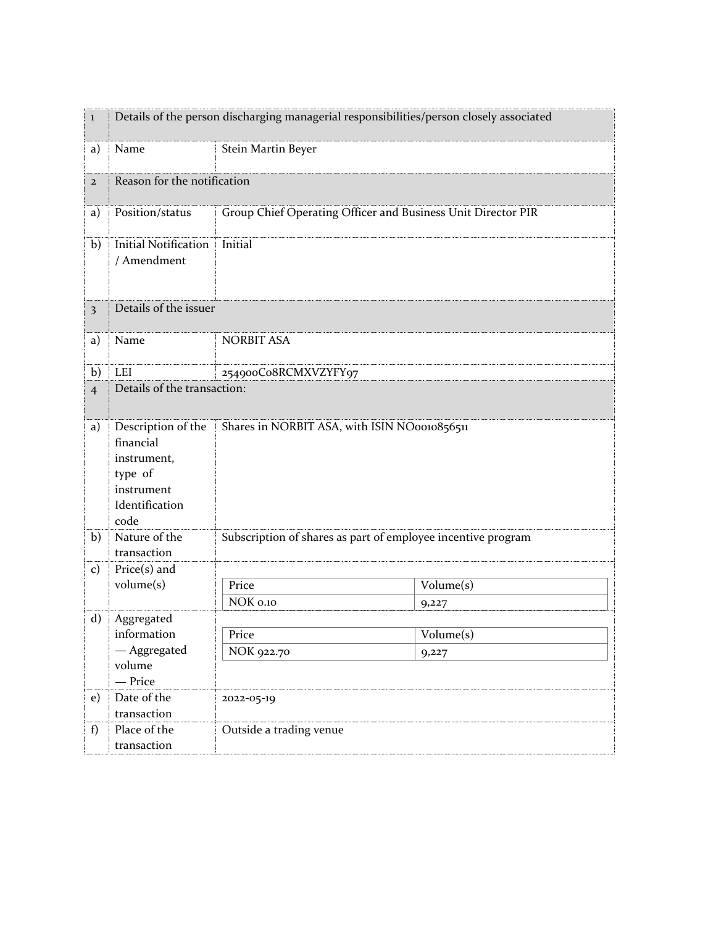| $\bf{l}$                | Details of the person discharging managerial responsibilities/person closely associated           |                                                              |           |  |
|-------------------------|---------------------------------------------------------------------------------------------------|--------------------------------------------------------------|-----------|--|
| a)                      | Name                                                                                              | Stein Martin Beyer                                           |           |  |
| $\mathbf{2}$            |                                                                                                   | Reason for the notification                                  |           |  |
| a)                      | Position/status                                                                                   | Group Chief Operating Officer and Business Unit Director PIR |           |  |
| b)                      | <b>Initial Notification</b><br>/ Amendment                                                        | Initial                                                      |           |  |
| $\overline{\mathbf{3}}$ | Details of the issuer                                                                             |                                                              |           |  |
| a)                      | Name                                                                                              | <b>NORBIT ASA</b>                                            |           |  |
| b)                      | LEI                                                                                               | 254900Co8RCMXVZYFY97                                         |           |  |
| $\overline{4}$          |                                                                                                   | Details of the transaction:                                  |           |  |
| a)                      | Description of the<br>financial<br>instrument,<br>type of<br>instrument<br>Identification<br>code | Shares in NORBIT ASA, with ISIN NO0010856511                 |           |  |
| b)                      | Nature of the<br>transaction                                                                      | Subscription of shares as part of employee incentive program |           |  |
| $\mathbf{c})$           | $Price(s)$ and                                                                                    |                                                              |           |  |
|                         | volume(s)                                                                                         | Price                                                        | Volume(s) |  |
|                         |                                                                                                   | NOK 0.10                                                     | 9,227     |  |
| $\mathbf{d}$            | Aggregated<br>information                                                                         | Price                                                        | Volume(s) |  |
|                         | — Aggregated                                                                                      | NOK 922.70                                                   | 9,227     |  |
|                         | volume<br>- Price                                                                                 |                                                              |           |  |
| e)                      | Date of the                                                                                       | 2022-05-19                                                   |           |  |
|                         | transaction                                                                                       |                                                              |           |  |
| f)                      | Place of the                                                                                      | Outside a trading venue                                      |           |  |
|                         | transaction                                                                                       |                                                              |           |  |